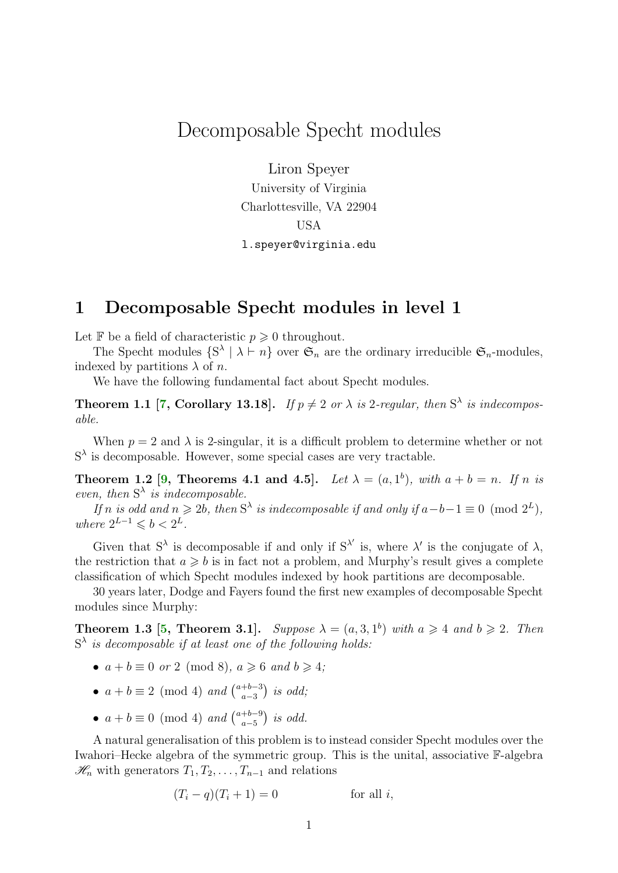# <span id="page-0-1"></span>Decomposable Specht modules

Liron Speyer

University of Virginia Charlottesville, VA 22904 USA l.speyer@virginia.edu

## 1 Decomposable Specht modules in level 1

Let  $\mathbb F$  be a field of characteristic  $p \geq 0$  throughout.

The Specht modules  $\{S^{\lambda} \mid \lambda \vdash n\}$  over  $\mathfrak{S}_n$  are the ordinary irreducible  $\mathfrak{S}_n$ -modules, indexed by partitions  $\lambda$  of n.

We have the following fundamental fact about Specht modules.

**Theorem 1.1** [\[7,](#page-4-0) Corollary 13.18]. If  $p \neq 2$  or  $\lambda$  is 2-regular, then  $S^{\lambda}$  is indecomposable.

When  $p = 2$  and  $\lambda$  is 2-singular, it is a difficult problem to determine whether or not  $S^{\lambda}$  is decomposable. However, some special cases are very tractable.

<span id="page-0-0"></span>**Theorem 1.2** [\[9,](#page-4-1) Theorems 4.1 and 4.5]. Let  $\lambda = (a, 1^b)$ , with  $a + b = n$ . If n is even, then  $S^{\lambda}$  is indecomposable.

If n is odd and  $n \ge 2b$ , then  $S^{\lambda}$  is indecomposable if and only if  $a-b-1 \equiv 0 \pmod{2^{L}}$ , where  $2^{L-1} \leqslant b < 2^L$ .

Given that  $S^{\lambda}$  is decomposable if and only if  $S^{\lambda'}$  is, where  $\lambda'$  is the conjugate of  $\lambda$ , the restriction that  $a \geq b$  is in fact not a problem, and Murphy's result gives a complete classification of which Specht modules indexed by hook partitions are decomposable.

30 years later, Dodge and Fayers found the first new examples of decomposable Specht modules since Murphy:

**Theorem 1.3** [\[5,](#page-4-2) Theorem 3.1]. Suppose  $\lambda = (a, 3, 1^b)$  with  $a \ge 4$  and  $b \ge 2$ . Then  $S^{\lambda}$  is decomposable if at least one of the following holds:

- $a + b \equiv 0$  or 2 (mod 8),  $a \ge 6$  and  $b \ge 4$ ;
- $a + b \equiv 2 \pmod{4}$  and  $\binom{a+b-3}{a-3}$  $_{a-3}^{+b-3}$ ) is odd;
- $a + b \equiv 0 \pmod{4}$  and  $\binom{a+b-9}{a-5}$  $\binom{+b-9}{a-5}$  is odd.

A natural generalisation of this problem is to instead consider Specht modules over the Iwahori–Hecke algebra of the symmetric group. This is the unital, associative F-algebra  $\mathcal{H}_n$  with generators  $T_1, T_2, \ldots, T_{n-1}$  and relations

$$
(T_i - q)(T_i + 1) = 0
$$
 for all *i*,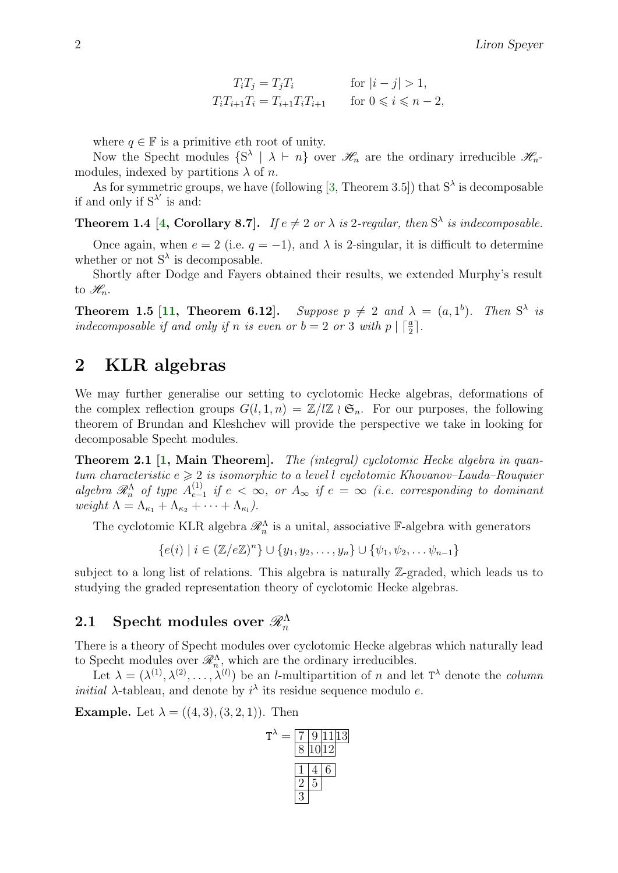$$
T_i T_j = T_j T_i
$$
 for  $|i - j| > 1$ ,  
\n
$$
T_i T_{i+1} T_i = T_{i+1} T_i T_{i+1}
$$
 for  $0 \le i \le n - 2$ ,

<span id="page-1-1"></span>where  $q \in \mathbb{F}$  is a primitive eth root of unity.

Now the Specht modules  $\{S^{\lambda} \mid \lambda \vdash n\}$  over  $\mathscr{H}_n$  are the ordinary irreducible  $\mathscr{H}_n$ modules, indexed by partitions  $\lambda$  of n.

As for symmetric groups, we have (following [\[3,](#page-3-0) Theorem 3.5]) that  $S^{\lambda}$  is decomposable if and only if  $S^{\lambda'}$  is and:

**Theorem 1.4 [\[4,](#page-3-1) Corollary 8.7].** If  $e \neq 2$  or  $\lambda$  is 2-regular, then  $S^{\lambda}$  is indecomposable.

Once again, when  $e = 2$  (i.e.  $q = -1$ ), and  $\lambda$  is 2-singular, it is difficult to determine whether or not  $S^{\lambda}$  is decomposable.

Shortly after Dodge and Fayers obtained their results, we extended Murphy's result to  $\mathscr{H}_n$ .

<span id="page-1-0"></span>**Theorem 1.5 [\[11,](#page-4-3) Theorem 6.12].** Suppose  $p \neq 2$  and  $\lambda = (a, 1^b)$ . Then  $S^{\lambda}$  is indecomposable if and only if n is even or  $b = 2$  or 3 with  $p \mid \lceil \frac{a}{2} \rceil$ .

## 2 KLR algebras

We may further generalise our setting to cyclotomic Hecke algebras, deformations of the complex reflection groups  $G(l, 1, n) = \mathbb{Z}/l\mathbb{Z} \wr \mathfrak{S}_n$ . For our purposes, the following theorem of Brundan and Kleshchev will provide the perspective we take in looking for decomposable Specht modules.

Theorem 2.1 [\[1,](#page-3-2) Main Theorem]. The (integral) cyclotomic Hecke algebra in quantum characteristic  $e \geq 2$  is isomorphic to a level l cyclotomic Khovanov–Lauda–Rouquier algebra  $\mathcal{R}_n^{\Lambda}$  of type  $A_{e-}^{(1)}$  $\sum_{e-1}^{(1)}$  if  $e < ∞$ , or  $A_{\infty}$  if  $e = ∞$  (i.e. corresponding to dominant weight  $\Lambda = \Lambda_{\kappa_1} + \Lambda_{\kappa_2} + \cdots + \Lambda_{\kappa_l}$ ).

The cyclotomic KLR algebra  $\mathcal{R}_n^{\Lambda}$  is a unital, associative F-algebra with generators

 ${e(i) | i \in (\mathbb{Z}/e\mathbb{Z})^n} \cup {y_1, y_2, \ldots, y_n} \cup { \psi_1, \psi_2, \ldots, \psi_{n-1}}$ 

subject to a long list of relations. This algebra is naturally Z-graded, which leads us to studying the graded representation theory of cyclotomic Hecke algebras.

## ${\bf 2.1}\quad{\rm Specht}\,\,{\rm modules}\,\,{\rm over}\,\,{\mathscr R}_n^\Lambda$

There is a theory of Specht modules over cyclotomic Hecke algebras which naturally lead to Specht modules over  $\mathcal{R}_n^{\Lambda}$ , which are the ordinary irreducibles.

Let  $\lambda = (\lambda^{(1)}, \lambda^{(2)}, \ldots, \lambda^{(l)})$  be an *l*-multipartition of *n* and let  $T^{\lambda}$  denote the *column initial*  $\lambda$ -tableau, and denote by  $i^{\lambda}$  its residue sequence modulo e.

**Example.** Let  $\lambda = ((4, 3), (3, 2, 1))$ . Then

$$
T^{\lambda} = \frac{7 \ 9 \ 11 \ 13}{8 \ 10 \ 12}
$$

$$
\frac{1 \ 4 \ 6}{2 \ 5}
$$

$$
\frac{3}{2 \ 3}
$$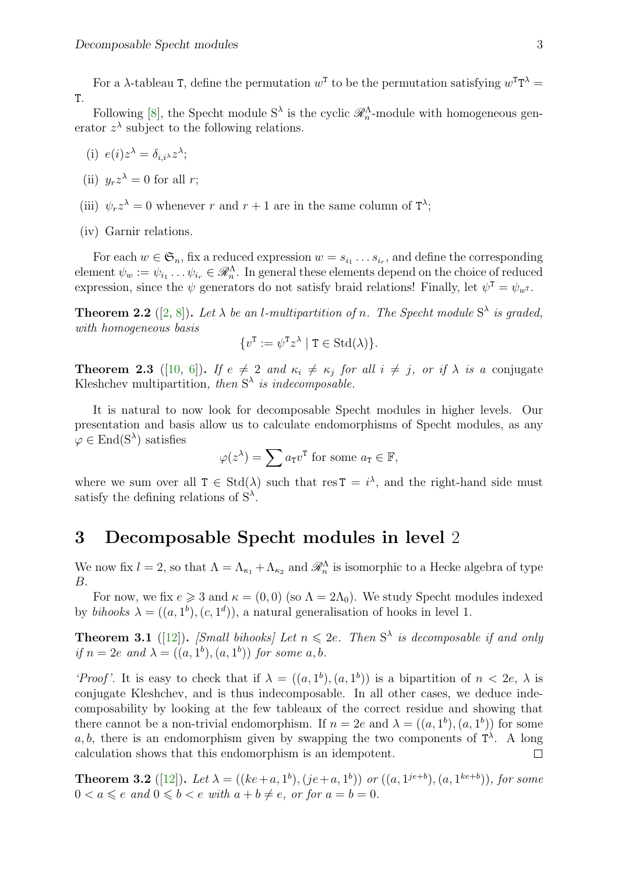<span id="page-2-1"></span>For a  $\lambda$ -tableau T, define the permutation  $w^T$  to be the permutation satisfying  $w^T T^{\lambda} =$ T.

Following [\[8\]](#page-4-4), the Specht module  $S^{\lambda}$  is the cyclic  $\mathcal{R}_n^{\Lambda}$ -module with homogeneous generator  $z^{\lambda}$  subject to the following relations.

- (i)  $e(i)z^{\lambda} = \delta_{i,i^{\lambda}}z^{\lambda};$
- (ii)  $y_r z^{\lambda} = 0$  for all r;
- (iii)  $\psi_r z^{\lambda} = 0$  whenever r and  $r + 1$  are in the same column of  $T^{\lambda}$ ;
- (iv) Garnir relations.

For each  $w \in \mathfrak{S}_n$ , fix a reduced expression  $w = s_{i_1} \ldots s_{i_r}$ , and define the corresponding element  $\psi_w := \psi_{i_1} \dots \psi_{i_r} \in \mathscr{R}_n^{\Lambda}$ . In general these elements depend on the choice of reduced expression, since the  $\psi$  generators do not satisfy braid relations! Finally, let  $\psi^T = \psi_{w^T}$ .

**Theorem 2.2** ([\[2,](#page-3-3) [8\]](#page-4-4)). Let  $\lambda$  be an l-multipartition of n. The Specht module  $S^{\lambda}$  is graded, with homogeneous basis

$$
\{v^{\mathrm{T}} := \psi^{\mathrm{T}} z^{\lambda} \mid \mathrm{T} \in \mathrm{Std}(\lambda)\}.
$$

**Theorem 2.3** ([\[10,](#page-4-5) [6\]](#page-4-6)). If  $e \neq 2$  and  $\kappa_i \neq \kappa_j$  for all  $i \neq j$ , or if  $\lambda$  is a conjugate Kleshchev multipartition, then  $S^{\lambda}$  is indecomposable.

It is natural to now look for decomposable Specht modules in higher levels. Our presentation and basis allow us to calculate endomorphisms of Specht modules, as any  $\varphi \in \text{End}(\mathcal{S}^{\lambda})$  satisfies

$$
\varphi(z^{\lambda}) = \sum a_{\mathsf{T}} v^{\mathsf{T}} \text{ for some } a_{\mathsf{T}} \in \mathbb{F},
$$

where we sum over all  $T \in \text{Std}(\lambda)$  such that res  $T = i^{\lambda}$ , and the right-hand side must satisfy the defining relations of  $S^{\lambda}$ .

#### 3 Decomposable Specht modules in level 2

We now fix  $l = 2$ , so that  $\Lambda = \Lambda_{\kappa_1} + \Lambda_{\kappa_2}$  and  $\mathscr{R}_n^{\Lambda}$  is isomorphic to a Hecke algebra of type B.

For now, we fix  $e \ge 3$  and  $\kappa = (0,0)$  (so  $\Lambda = 2\Lambda_0$ ). We study Specht modules indexed by bihooks  $\lambda = ((a, 1^b), (c, 1^d))$ , a natural generalisation of hooks in level 1.

**Theorem 3.1** ([\[12\]](#page-4-7)). [Small bihooks] Let  $n \leq 2e$ . Then  $S^{\lambda}$  is decomposable if and only if  $n = 2e$  and  $\lambda = ((a, 1^b), (a, 1^b))$  for some a, b.

'Proof'. It is easy to check that if  $\lambda = ((a, 1^b), (a, 1^b))$  is a bipartition of  $n < 2e$ ,  $\lambda$  is conjugate Kleshchev, and is thus indecomposable. In all other cases, we deduce indecomposability by looking at the few tableaux of the correct residue and showing that there cannot be a non-trivial endomorphism. If  $n = 2e$  and  $\lambda = ((a, 1^b), (a, 1^b))$  for some a, b, there is an endomorphism given by swapping the two components of  $T^{\lambda}$ . A long calculation shows that this endomorphism is an idempotent.  $\Box$ 

<span id="page-2-0"></span>**Theorem 3.2** ([\[12\]](#page-4-7)). Let  $\lambda = ((ke+a, 1^b), (je+a, 1^b))$  or  $((a, 1^{je+b}), (a, 1^{ke+b}))$ , for some  $0 < a \leqslant e$  and  $0 \leqslant b < e$  with  $a + b \neq e$ , or for  $a = b = 0$ .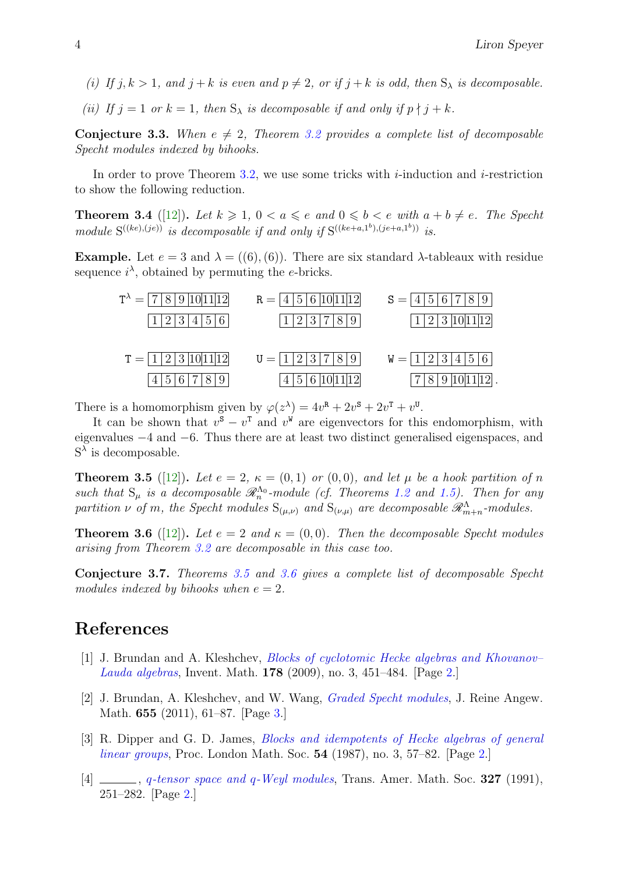- <span id="page-3-6"></span>(i) If  $j, k > 1$ , and  $j + k$  is even and  $p \neq 2$ , or if  $j + k$  is odd, then  $S_\lambda$  is decomposable.
- (ii) If  $j = 1$  or  $k = 1$ , then  $S_{\lambda}$  is decomposable if and only if  $p \nmid j + k$ .

**Conjecture 3.3.** When  $e \neq 2$ , Theorem [3.2](#page-2-0) provides a complete list of decomposable Specht modules indexed by bihooks.

In order to prove Theorem [3.2,](#page-2-0) we use some tricks with  $i$ -induction and  $i$ -restriction to show the following reduction.

**Theorem 3.4** ([\[12\]](#page-4-7)). Let  $k \geq 1$ ,  $0 < a \leq e$  and  $0 \leq b < e$  with  $a + b \neq e$ . The Specht module  $S^{((ke),(je))}$  is decomposable if and only if  $S^{((ke+a,1^b),(je+a,1^b))}$  is.

Example. Let  $e = 3$  and  $\lambda = ((6), (6))$ . There are six standard  $\lambda$ -tableaux with residue sequence  $i^{\lambda}$ , obtained by permuting the e-bricks.

| $T^{\lambda} =  7 8 9 10 11 12 $ | $R =  4 5 6 10 11 12 $                                        | $S =  4 5 6 7 8 9$  |
|----------------------------------|---------------------------------------------------------------|---------------------|
| 1 2 3 4 5 6                      | 1123789                                                       | $1/2/3$ 10 11 12    |
| $T =  1 2 3 10 11 12 $           | $U =  1 2 3 7 8 9 $                                           | $W =  1 2 3 4 5 6 $ |
| 4 5 6 7 8 9                      | $\left  4 \right  5 \left  6 \right  10 \left  11 \right  12$ | 7 8 9 10 11 12 .    |

There is a homomorphism given by  $\varphi(z^{\lambda}) = 4v^{\mathbf{R}} + 2v^{\mathbf{S}} + 2v^{\mathbf{T}} + v^{\mathbf{U}}$ .

It can be shown that  $v^s - v^{\text{T}}$  and  $v^{\text{W}}$  are eigenvectors for this endomorphism, with eigenvalues −4 and −6. Thus there are at least two distinct generalised eigenspaces, and  $S^{\lambda}$  is decomposable.

<span id="page-3-4"></span>**Theorem 3.5** ([\[12\]](#page-4-7)). Let  $e = 2$ ,  $\kappa = (0, 1)$  or  $(0, 0)$ , and let  $\mu$  be a hook partition of n such that  $S_{\mu}$  is a decomposable  $\mathscr{R}_n^{\Lambda_0}$ -module (cf. Theorems [1.2](#page-0-0) and [1.5\)](#page-1-0). Then for any partition  $\nu$  of m, the Specht modules  $S_{(\mu,\nu)}$  and  $S_{(\nu,\mu)}$  are decomposable  $\mathscr{R}^{\Lambda}_{m+n}$ -modules.

<span id="page-3-5"></span>**Theorem 3.6** ([\[12\]](#page-4-7)). Let  $e = 2$  and  $\kappa = (0, 0)$ . Then the decomposable Specht modules arising from Theorem [3.2](#page-2-0) are decomposable in this case too.

Conjecture 3.7. Theorems [3.5](#page-3-4) and [3.6](#page-3-5) gives a complete list of decomposable Specht modules indexed by bihooks when  $e = 2$ .

### References

- <span id="page-3-2"></span>[1] J. Brundan and A. Kleshchev, [Blocks of cyclotomic Hecke algebras and Khovanov–](http://dx.doi.org/10.1007/s00222-009-0204-8) [Lauda algebras](http://dx.doi.org/10.1007/s00222-009-0204-8), Invent. Math. 178 (2009), no. 3, 451–484. [Page [2.](#page-1-1)]
- <span id="page-3-3"></span>[2] J. Brundan, A. Kleshchev, and W. Wang, [Graded Specht modules](http://dx.doi.org/10.1515/CRELLE.2011.033), J. Reine Angew. Math. 655 (2011), 61–87. [Page [3.](#page-2-1)]
- <span id="page-3-0"></span>[3] R. Dipper and G. D. James, [Blocks and idempotents of Hecke algebras of general](http://dx.doi.org/10.1112/plms/s3-54.1.57) [linear groups](http://dx.doi.org/10.1112/plms/s3-54.1.57), Proc. London Math. Soc. 54 (1987), no. 3, 57–82. [Page [2.](#page-1-1)]
- <span id="page-3-1"></span>[4]  $\Box$ , q[-tensor space and](http://dx.doi.org/10.2307/2001842) q-Weyl modules, Trans. Amer. Math. Soc. 327 (1991), 251–282. [Page [2.](#page-1-1)]